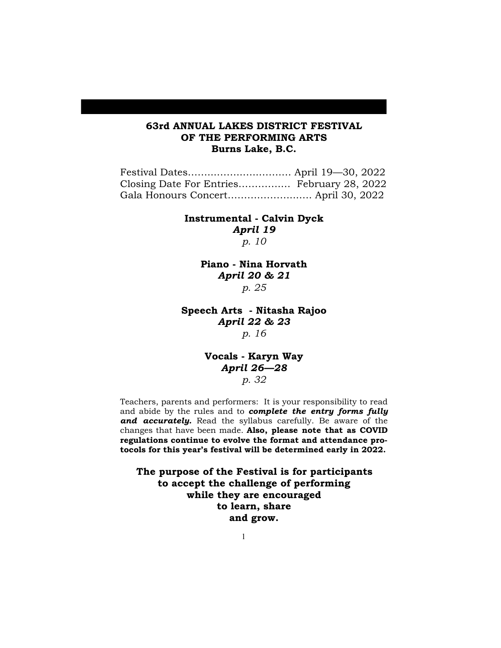## **63rd ANNUAL LAKES DISTRICT FESTIVAL OF THE PERFORMING ARTS Burns Lake, B.C.**

| Closing Date For Entries February 28, 2022 |  |  |
|--------------------------------------------|--|--|
|                                            |  |  |

**Instrumental - Calvin Dyck**  *April 19 p. 10*

> **Piano - Nina Horvath** *April 20 & 21 p. 25*

**Speech Arts - Nitasha Rajoo** *April 22 & 23 p. 16*

> **Vocals - Karyn Way** *April 26—28 p. 32*

Teachers, parents and performers: It is your responsibility to read and abide by the rules and to *complete the entry forms fully and accurately.* Read the syllabus carefully. Be aware of the changes that have been made. **Also, please note that as COVID regulations continue to evolve the format and attendance protocols for this year's festival will be determined early in 2022.**

**The purpose of the Festival is for participants to accept the challenge of performing while they are encouraged to learn, share and grow.**

1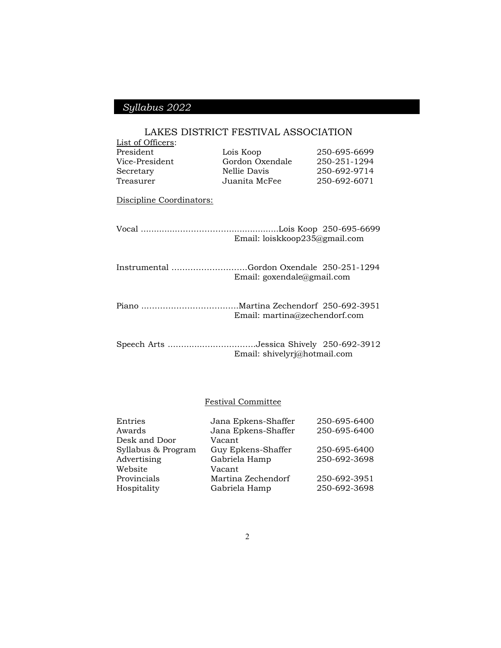## LAKES DISTRICT FESTIVAL ASSOCIATION

| List of Officers:                         |                               |              |
|-------------------------------------------|-------------------------------|--------------|
| President                                 | Lois Koop                     | 250-695-6699 |
| Vice-President                            | Gordon Oxendale               | 250-251-1294 |
| Secretary                                 | Nellie Davis                  | 250-692-9714 |
| Treasurer                                 | Juanita McFee                 | 250-692-6071 |
| Discipline Coordinators:                  |                               |              |
|                                           | Email: loiskkoop235@gmail.com |              |
| Instrumental Gordon Oxendale 250-251-1294 | Email: goxendale@gmail.com    |              |
|                                           | Email: martina@zechendorf.com |              |
| Speech Arts Jessica Shively 250-692-3912  | Email: shivelyrj@hotmail.com  |              |

## Festival Committee

| Entries            | Jana Epkens-Shaffer | 250-695-6400 |
|--------------------|---------------------|--------------|
| Awards             | Jana Epkens-Shaffer | 250-695-6400 |
| Desk and Door      | Vacant              |              |
| Syllabus & Program | Guy Epkens-Shaffer  | 250-695-6400 |
| Advertising        | Gabriela Hamp       | 250-692-3698 |
| Website            | Vacant              |              |
| Provincials        | Martina Zechendorf  | 250-692-3951 |
| Hospitality        | Gabriela Hamp       | 250-692-3698 |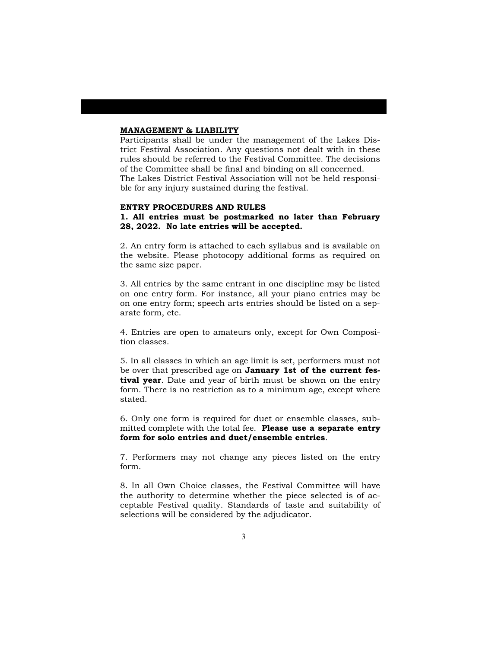#### **MANAGEMENT & LIABILITY**

Participants shall be under the management of the Lakes District Festival Association. Any questions not dealt with in these rules should be referred to the Festival Committee. The decisions of the Committee shall be final and binding on all concerned. The Lakes District Festival Association will not be held responsible for any injury sustained during the festival.

#### **ENTRY PROCEDURES AND RULES**

**1. All entries must be postmarked no later than February 28, 2022. No late entries will be accepted.**

2. An entry form is attached to each syllabus and is available on the website. Please photocopy additional forms as required on the same size paper.

3. All entries by the same entrant in one discipline may be listed on one entry form. For instance, all your piano entries may be on one entry form; speech arts entries should be listed on a separate form, etc.

4. Entries are open to amateurs only, except for Own Composition classes.

5. In all classes in which an age limit is set, performers must not be over that prescribed age on **January 1st of the current festival year**. Date and year of birth must be shown on the entry form. There is no restriction as to a minimum age, except where stated.

6. Only one form is required for duet or ensemble classes, submitted complete with the total fee. **Please use a separate entry form for solo entries and duet/ensemble entries**.

7. Performers may not change any pieces listed on the entry form.

8. In all Own Choice classes, the Festival Committee will have the authority to determine whether the piece selected is of acceptable Festival quality. Standards of taste and suitability of selections will be considered by the adjudicator.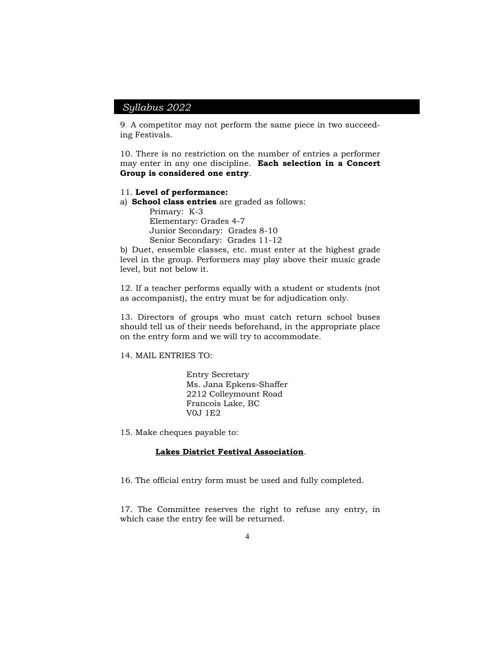9. A competitor may not perform the same piece in two succeeding Festivals.

10. There is no restriction on the number of entries a performer may enter in any one discipline. **Each selection in a Concert Group is considered one entry**.

#### 11. **Level of performance:**

a) **School class entries** are graded as follows:

Primary: K-3 Elementary: Grades 4-7 Junior Secondary: Grades 8-10 Senior Secondary: Grades 11-12

b) Duet, ensemble classes, etc. must enter at the highest grade level in the group. Performers may play above their music grade level, but not below it.

12. If a teacher performs equally with a student or students (not as accompanist), the entry must be for adjudication only.

13. Directors of groups who must catch return school buses should tell us of their needs beforehand, in the appropriate place on the entry form and we will try to accommodate.

14. MAIL ENTRIES TO:

Entry Secretary Ms. Jana Epkens-Shaffer 2212 Colleymount Road Francois Lake, BC V0J 1E2

15. Make cheques payable to:

#### **Lakes District Festival Association**.

16. The official entry form must be used and fully completed.

17. The Committee reserves the right to refuse any entry, in which case the entry fee will be returned.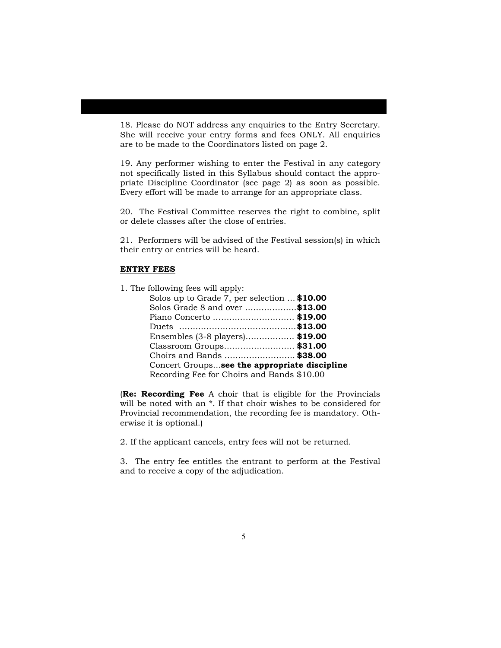18. Please do NOT address any enquiries to the Entry Secretary. She will receive your entry forms and fees ONLY. All enquiries are to be made to the Coordinators listed on page 2.

19. Any performer wishing to enter the Festival in any category not specifically listed in this Syllabus should contact the appropriate Discipline Coordinator (see page 2) as soon as possible. Every effort will be made to arrange for an appropriate class.

20. The Festival Committee reserves the right to combine, split or delete classes after the close of entries.

21. Performers will be advised of the Festival session(s) in which their entry or entries will be heard.

### **ENTRY FEES**

1. The following fees will apply:

| Solos up to Grade 7, per selection  \$10.00  |
|----------------------------------------------|
| Solos Grade 8 and over \$13.00               |
| Piano Concerto  \$19.00                      |
|                                              |
| Ensembles (3-8 players)\$19.00               |
| Classroom Groups \$31.00                     |
| Choirs and Bands  \$38.00                    |
| Concert Groupssee the appropriate discipline |
| Recording Fee for Choirs and Bands \$10.00   |

(**Re: Recording Fee** A choir that is eligible for the Provincials will be noted with an \*. If that choir wishes to be considered for Provincial recommendation, the recording fee is mandatory. Otherwise it is optional.)

2. If the applicant cancels, entry fees will not be returned.

3. The entry fee entitles the entrant to perform at the Festival and to receive a copy of the adjudication.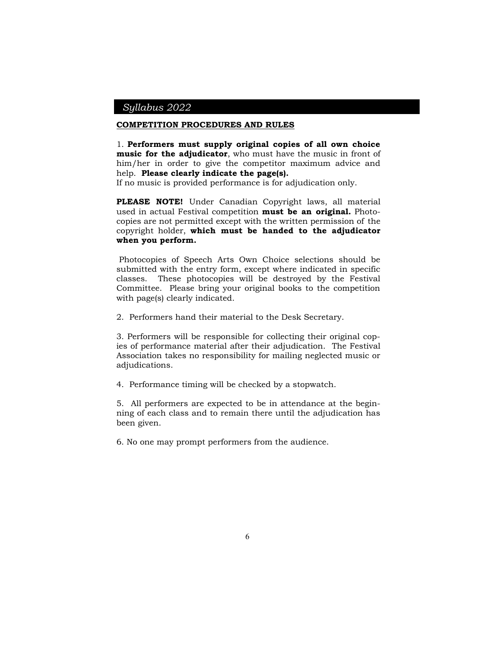#### **COMPETITION PROCEDURES AND RULES**

1. **Performers must supply original copies of all own choice music for the adjudicator**, who must have the music in front of him/her in order to give the competitor maximum advice and help. **Please clearly indicate the page(s).**

If no music is provided performance is for adjudication only.

**PLEASE NOTE!** Under Canadian Copyright laws, all material used in actual Festival competition **must be an original.** Photocopies are not permitted except with the written permission of the copyright holder, **which must be handed to the adjudicator when you perform.**

Photocopies of Speech Arts Own Choice selections should be submitted with the entry form, except where indicated in specific classes. These photocopies will be destroyed by the Festival Committee. Please bring your original books to the competition with page(s) clearly indicated.

2. Performers hand their material to the Desk Secretary.

3. Performers will be responsible for collecting their original copies of performance material after their adjudication. The Festival Association takes no responsibility for mailing neglected music or adjudications.

4. Performance timing will be checked by a stopwatch.

5. All performers are expected to be in attendance at the beginning of each class and to remain there until the adjudication has been given.

6. No one may prompt performers from the audience.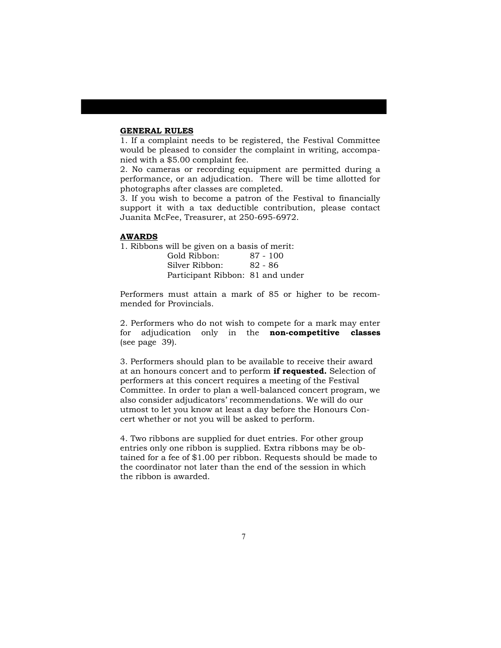### **GENERAL RULES**

1. If a complaint needs to be registered, the Festival Committee would be pleased to consider the complaint in writing, accompanied with a \$5.00 complaint fee.

2. No cameras or recording equipment are permitted during a performance, or an adjudication. There will be time allotted for photographs after classes are completed.

3. If you wish to become a patron of the Festival to financially support it with a tax deductible contribution, please contact Juanita McFee, Treasurer, at 250-695-6972.

#### **AWARDS**

1. Ribbons will be given on a basis of merit:

| Gold Ribbon:                     | $87 - 100$ |
|----------------------------------|------------|
| Silver Ribbon:                   | 82 - 86    |
| Participant Ribbon: 81 and under |            |

Performers must attain a mark of 85 or higher to be recommended for Provincials.

2. Performers who do not wish to compete for a mark may enter for adjudication only in the **non-competitive classes** (see page 39).

3. Performers should plan to be available to receive their award at an honours concert and to perform **if requested.** Selection of performers at this concert requires a meeting of the Festival Committee. In order to plan a well-balanced concert program, we also consider adjudicators' recommendations. We will do our utmost to let you know at least a day before the Honours Concert whether or not you will be asked to perform.

4. Two ribbons are supplied for duet entries. For other group entries only one ribbon is supplied. Extra ribbons may be obtained for a fee of \$1.00 per ribbon. Requests should be made to the coordinator not later than the end of the session in which the ribbon is awarded.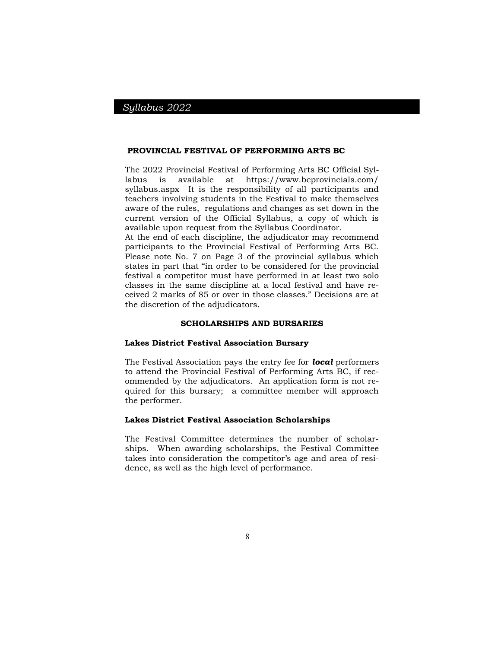#### **PROVINCIAL FESTIVAL OF PERFORMING ARTS BC**

The 2022 Provincial Festival of Performing Arts BC Official Syllabus is available at https://www.bcprovincials.com/ syllabus.aspx It is the responsibility of all participants and teachers involving students in the Festival to make themselves aware of the rules, regulations and changes as set down in the current version of the Official Syllabus, a copy of which is available upon request from the Syllabus Coordinator.

At the end of each discipline, the adjudicator may recommend participants to the Provincial Festival of Performing Arts BC. Please note No. 7 on Page 3 of the provincial syllabus which states in part that "in order to be considered for the provincial festival a competitor must have performed in at least two solo classes in the same discipline at a local festival and have received 2 marks of 85 or over in those classes." Decisions are at the discretion of the adjudicators.

#### **SCHOLARSHIPS AND BURSARIES**

#### **Lakes District Festival Association Bursary**

The Festival Association pays the entry fee for *local* performers to attend the Provincial Festival of Performing Arts BC, if recommended by the adjudicators. An application form is not required for this bursary; a committee member will approach the performer.

#### **Lakes District Festival Association Scholarships**

The Festival Committee determines the number of scholarships. When awarding scholarships, the Festival Committee takes into consideration the competitor's age and area of residence, as well as the high level of performance.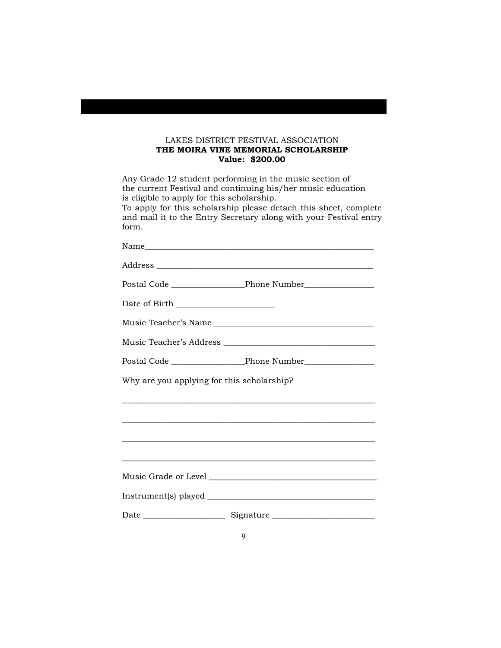## LAKES DISTRICT FESTIVAL ASSOCIATION **THE MOIRA VINE MEMORIAL SCHOLARSHIP Value: \$200.00**

Any Grade 12 student performing in the music section of the current Festival and continuing his/her music education is eligible to apply for this scholarship.

To apply for this scholarship please detach this sheet, complete and mail it to the Entry Secretary along with your Festival entry form.

| Date of Birth _____________________        |                                                                      |
|--------------------------------------------|----------------------------------------------------------------------|
|                                            | Music Teacher's Name                                                 |
|                                            | Music Teacher's Address                                              |
|                                            |                                                                      |
| Why are you applying for this scholarship? |                                                                      |
|                                            | <u> 1989 - Johann Barn, mars an t-Amerikaansk politiker (* 1958)</u> |
|                                            |                                                                      |
|                                            |                                                                      |
|                                            |                                                                      |
|                                            |                                                                      |
|                                            |                                                                      |
|                                            |                                                                      |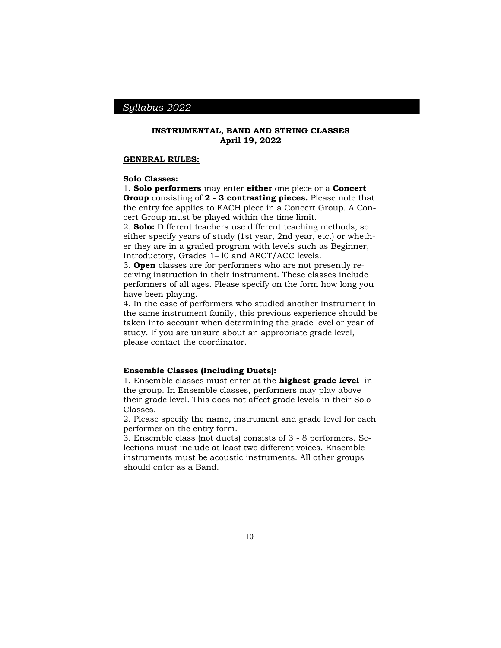#### **INSTRUMENTAL, BAND AND STRING CLASSES April 19, 2022**

#### **GENERAL RULES:**

#### **Solo Classes:**

1. **Solo performers** may enter **either** one piece or a **Concert Group** consisting of **2 - 3 contrasting pieces.** Please note that the entry fee applies to EACH piece in a Concert Group. A Concert Group must be played within the time limit.

2. **Solo:** Different teachers use different teaching methods, so either specify years of study (1st year, 2nd year, etc.) or whether they are in a graded program with levels such as Beginner, Introductory, Grades 1– l0 and ARCT/ACC levels.

3. **Open** classes are for performers who are not presently receiving instruction in their instrument. These classes include performers of all ages. Please specify on the form how long you have been playing.

4. In the case of performers who studied another instrument in the same instrument family, this previous experience should be taken into account when determining the grade level or year of study. If you are unsure about an appropriate grade level, please contact the coordinator.

#### **Ensemble Classes (Including Duets):**

1. Ensemble classes must enter at the **highest grade level** in the group. In Ensemble classes, performers may play above their grade level. This does not affect grade levels in their Solo Classes.

2. Please specify the name, instrument and grade level for each performer on the entry form.

3. Ensemble class (not duets) consists of 3 - 8 performers. Selections must include at least two different voices. Ensemble instruments must be acoustic instruments. All other groups should enter as a Band.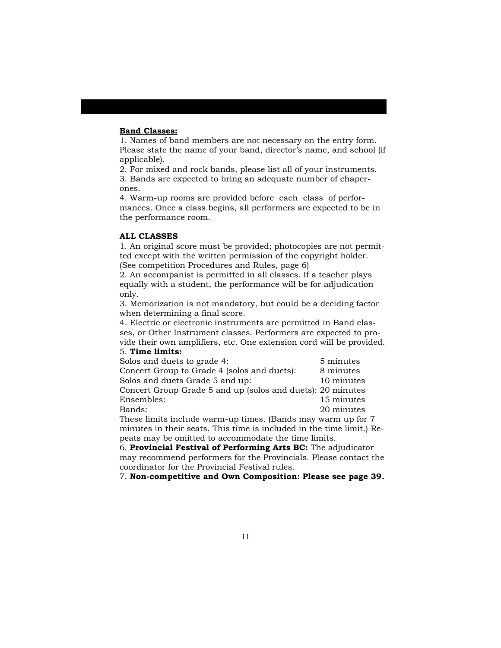### **Band Classes:**

1. Names of band members are not necessary on the entry form. Please state the name of your band, director's name, and school (if applicable).

2. For mixed and rock bands, please list all of your instruments. 3. Bands are expected to bring an adequate number of chaperones.

4. Warm-up rooms are provided before each class of performances. Once a class begins, all performers are expected to be in the performance room.

### **ALL CLASSES**

1. An original score must be provided; photocopies are not permitted except with the written permission of the copyright holder. (See competition Procedures and Rules, page 6)

2. An accompanist is permitted in all classes. If a teacher plays equally with a student, the performance will be for adjudication only.

3. Memorization is not mandatory, but could be a deciding factor when determining a final score.

4. Electric or electronic instruments are permitted in Band classes, or Other Instrument classes. Performers are expected to provide their own amplifiers, etc. One extension cord will be provided. 5. **Time limits:**

| Solos and duets to grade 4:                                | 5 minutes  |
|------------------------------------------------------------|------------|
| Concert Group to Grade 4 (solos and duets):                | 8 minutes  |
| Solos and duets Grade 5 and up:                            | 10 minutes |
| Concert Group Grade 5 and up (solos and duets): 20 minutes |            |
| Ensembles:                                                 | 15 minutes |
| Bands:                                                     | 20 minutes |

These limits include warm-up times. (Bands may warm up for 7 minutes in their seats. This time is included in the time limit.) Repeats may be omitted to accommodate the time limits.

6. **Provincial Festival of Performing Arts BC:** The adjudicator may recommend performers for the Provincials. Please contact the coordinator for the Provincial Festival rules.

7. **Non-competitive and Own Composition: Please see page 39.**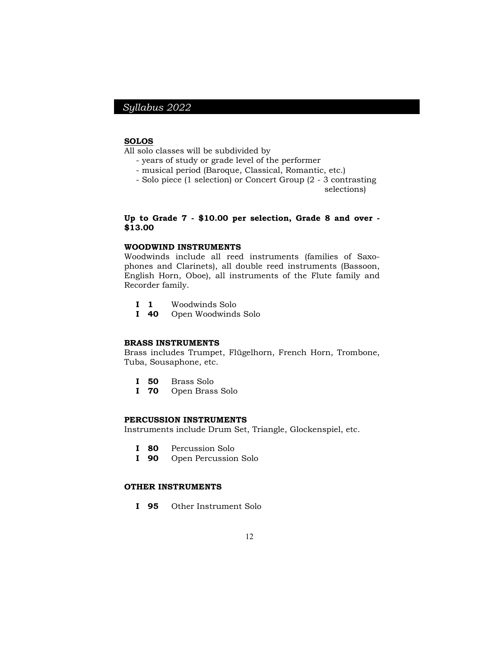#### **SOLOS**

All solo classes will be subdivided by

- years of study or grade level of the performer
- musical period (Baroque, Classical, Romantic, etc.)
- Solo piece (1 selection) or Concert Group (2 3 contrasting

selections)

### **Up to Grade 7 - \$10.00 per selection, Grade 8 and over - \$13.00**

### **WOODWIND INSTRUMENTS**

Woodwinds include all reed instruments (families of Saxophones and Clarinets), all double reed instruments (Bassoon, English Horn, Oboe), all instruments of the Flute family and Recorder family.

- **I 1** Woodwinds Solo
- **I 40** Open Woodwinds Solo

#### **BRASS INSTRUMENTS**

Brass includes Trumpet, Flügelhorn, French Horn, Trombone, Tuba, Sousaphone, etc.

- **I 50** Brass Solo
- **I 70** Open Brass Solo

#### **PERCUSSION INSTRUMENTS**

Instruments include Drum Set, Triangle, Glockenspiel, etc.

- **I 80** Percussion Solo
- **I 90** Open Percussion Solo

## **OTHER INSTRUMENTS**

**I 95** Other Instrument Solo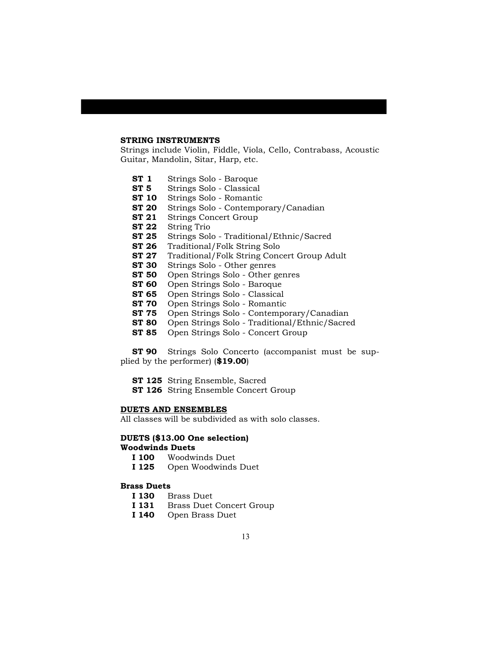#### **STRING INSTRUMENTS**

Strings include Violin, Fiddle, Viola, Cello, Contrabass, Acoustic Guitar, Mandolin, Sitar, Harp, etc.

- **ST 1** Strings Solo Baroque
- **ST 5** Strings Solo Classical
- **ST 10** Strings Solo Romantic
- **ST 20** Strings Solo Contemporary/Canadian
- **ST 21** Strings Concert Group
- **ST 22** String Trio
- **ST 25** Strings Solo Traditional/Ethnic/Sacred
- **ST 26** Traditional/Folk String Solo
- **ST 27** Traditional/Folk String Concert Group Adult
- **ST 30** Strings Solo Other genres<br>**ST 50** Open Strings Solo Other g
- Open Strings Solo Other genres
- **ST 60** Open Strings Solo Baroque
- **ST 65** Open Strings Solo Classical
- **ST 70** Open Strings Solo Romantic
- **ST 75** Open Strings Solo Contemporary/Canadian
- **ST 80** Open Strings Solo Traditional/Ethnic/Sacred
- **ST 85** Open Strings Solo Concert Group

**ST 90** Strings Solo Concerto (accompanist must be supplied by the performer) (**\$19.00**)

- **ST 125** String Ensemble, Sacred
- **ST 126** String Ensemble Concert Group

#### **DUETS AND ENSEMBLES**

All classes will be subdivided as with solo classes.

#### **DUETS (\$13.00 One selection) Woodwinds Duets**

- **I 100** Woodwinds Duet
- **I 125** Open Woodwinds Duet

#### **Brass Duets**

- **I 130** Brass Duet
- **I 131** Brass Duet Concert Group
- **I 140** Open Brass Duet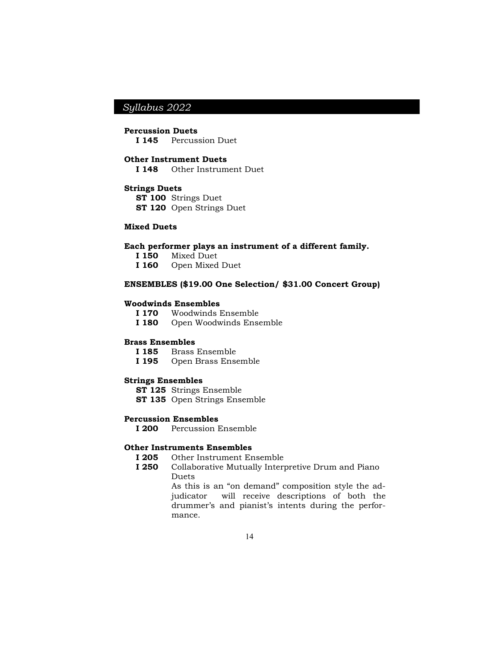#### **Percussion Duets**

**I 145** Percussion Duet

#### **Other Instrument Duets**

**I 148** Other Instrument Duet

### **Strings Duets**

**ST 100** Strings Duet **ST 120** Open Strings Duet

#### **Mixed Duets**

#### **Each performer plays an instrument of a different family.**

- **I 150** Mixed Duet
- **I 160** Open Mixed Duet

### **ENSEMBLES (\$19.00 One Selection/ \$31.00 Concert Group)**

#### **Woodwinds Ensembles**

- **I 170** Woodwinds Ensemble
- **I 180** Open Woodwinds Ensemble

#### **Brass Ensembles**

- **I 185** Brass Ensemble
- **I 195** Open Brass Ensemble

#### **Strings Ensembles**

- **ST 125** Strings Ensemble
- **ST 135** Open Strings Ensemble

### **Percussion Ensembles**

**I 200** Percussion Ensemble

## **Other Instruments Ensembles**

- **I 205** Other Instrument Ensemble
- **I 250** Collaborative Mutually Interpretive Drum and Piano Duets

As this is an "on demand" composition style the adjudicator will receive descriptions of both the drummer's and pianist's intents during the performance.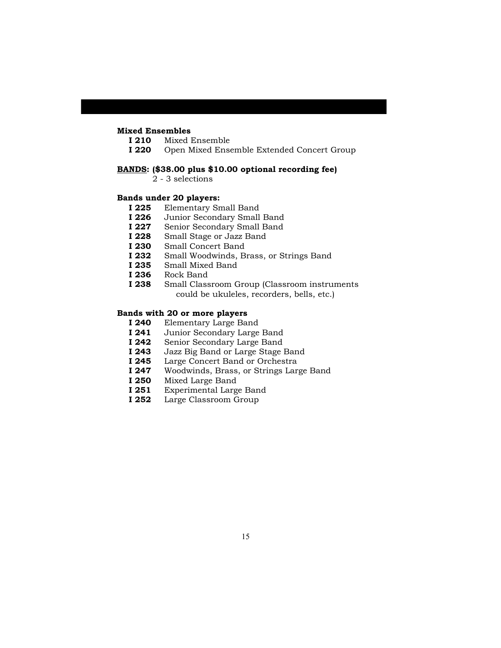## **Mixed Ensembles**

- **I 210** Mixed Ensemble
- **I 220** Open Mixed Ensemble Extended Concert Group

#### **BANDS: (\$38.00 plus \$10.00 optional recording fee)**

2 - 3 selections

## **Bands under 20 players:**

- **I 225** Elementary Small Band<br>**I 226** Junior Secondary Small
- Junior Secondary Small Band
- **I 227** Senior Secondary Small Band
- **I 228** Small Stage or Jazz Band
- **I 230** Small Concert Band
- **I 232** Small Woodwinds, Brass, or Strings Band
- **I 235** Small Mixed Band
- **I 236** Rock Band
- **I 238** Small Classroom Group (Classroom instruments could be ukuleles, recorders, bells, etc.)

#### **Bands with 20 or more players**

- **I 240** Elementary Large Band
- **I 241** Junior Secondary Large Band
- **I 242** Senior Secondary Large Band
- **I 243** Jazz Big Band or Large Stage Band
- **I 245** Large Concert Band or Orchestra
- **I 247** Woodwinds, Brass, or Strings Large Band
- **I 250** Mixed Large Band
- **I 251** Experimental Large Band
- **I 252** Large Classroom Group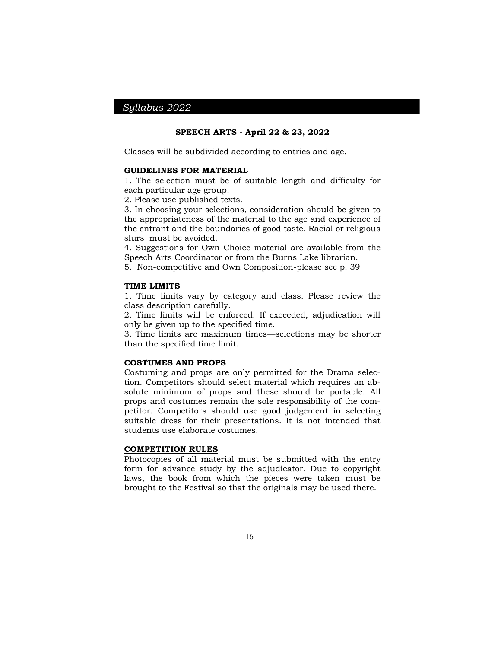#### **SPEECH ARTS - April 22 & 23, 2022**

Classes will be subdivided according to entries and age.

#### **GUIDELINES FOR MATERIAL**

1. The selection must be of suitable length and difficulty for each particular age group.

2. Please use published texts.

3. In choosing your selections, consideration should be given to the appropriateness of the material to the age and experience of the entrant and the boundaries of good taste. Racial or religious slurs must be avoided.

4. Suggestions for Own Choice material are available from the Speech Arts Coordinator or from the Burns Lake librarian.

5. Non-competitive and Own Composition-please see p. 39

#### **TIME LIMITS**

1. Time limits vary by category and class. Please review the class description carefully.

2. Time limits will be enforced. If exceeded, adjudication will only be given up to the specified time.

3. Time limits are maximum times—selections may be shorter than the specified time limit.

#### **COSTUMES AND PROPS**

Costuming and props are only permitted for the Drama selection. Competitors should select material which requires an absolute minimum of props and these should be portable. All props and costumes remain the sole responsibility of the competitor. Competitors should use good judgement in selecting suitable dress for their presentations. It is not intended that students use elaborate costumes.

### **COMPETITION RULES**

Photocopies of all material must be submitted with the entry form for advance study by the adjudicator. Due to copyright laws, the book from which the pieces were taken must be brought to the Festival so that the originals may be used there.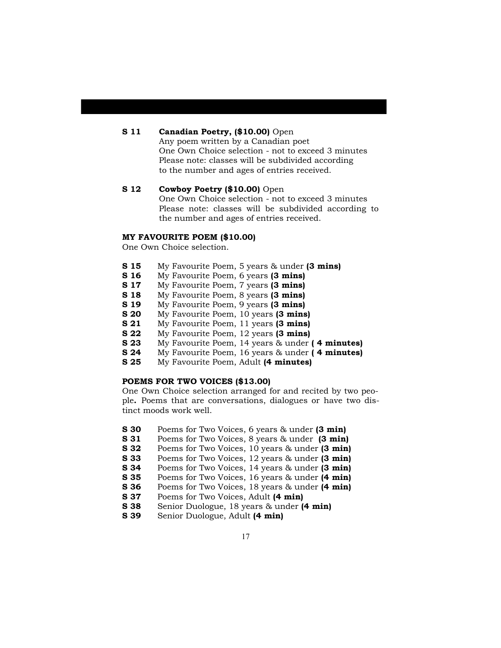## **S 11 • Canadian Poetry, (\$10.00)** Open

Any poem written by a Canadian poet One Own Choice selection - not to exceed 3 minutes Please note: classes will be subdivided according to the number and ages of entries received.

## **S 12 • Cowboy Poetry (\$10.00)** Open One Own Choice selection - not to exceed 3 minutes Please note: classes will be subdivided according to the number and ages of entries received.

#### **MY FAVOURITE POEM (\$10.00)**

One Own Choice selection.

- **S 15** My Favourite Poem, 5 years & under **(3 mins)**
- **S 16** My Favourite Poem, 6 years **(3 mins)**
- **S 17** My Favourite Poem, 7 years **(3 mins)**
- **S 18** My Favourite Poem, 8 years **(3 mins)**
- **S 19** My Favourite Poem, 9 years **(3 mins)**
- **S 20** My Favourite Poem, 10 years **(3 mins)**
- **S 21** My Favourite Poem, 11 years **(3 mins)**
- **S 22** My Favourite Poem, 12 years **(3 mins)**
- **S 23** My Favourite Poem, 14 years & under **( 4 minutes)**
- **S 24** My Favourite Poem, 16 years & under **( 4 minutes)**
- **S 25** My Favourite Poem, Adult **(4 minutes)**

### **POEMS FOR TWO VOICES (\$13.00)**

One Own Choice selection arranged for and recited by two people**.** Poems that are conversations, dialogues or have two distinct moods work well.

- **S 30** Poems for Two Voices, 6 years & under **(3 min)**
- **S 31** Poems for Two Voices, 8 years & under **(3 min)**
- **S 32** Poems for Two Voices, 10 years & under **(3 min)**
- **S 33** Poems for Two Voices, 12 years & under **(3 min)**
- **S 34** Poems for Two Voices, 14 years & under **(3 min)**
- **S 35** Poems for Two Voices, 16 years & under **(4 min)**
- **S 36** Poems for Two Voices, 18 years & under **(4 min)**
- **S 37** Poems for Two Voices, Adult **(4 min)**
- **S 38** Senior Duologue, 18 years & under **(4 min)**
- **S 39** Senior Duologue, Adult **(4 min)**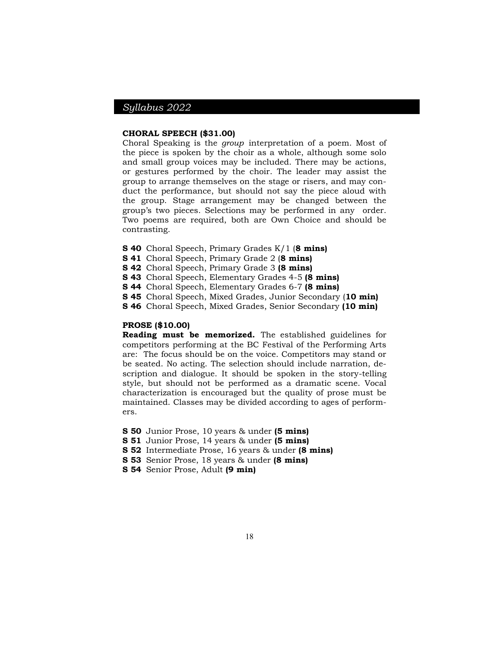#### **CHORAL SPEECH (\$31.00)**

Choral Speaking is the *group* interpretation of a poem. Most of the piece is spoken by the choir as a whole, although some solo and small group voices may be included. There may be actions, or gestures performed by the choir. The leader may assist the group to arrange themselves on the stage or risers, and may conduct the performance, but should not say the piece aloud with the group. Stage arrangement may be changed between the group's two pieces. Selections may be performed in any order. Two poems are required, both are Own Choice and should be contrasting.

- **S 40** Choral Speech, Primary Grades K/1 (**8 mins)**
- **S 41** Choral Speech, Primary Grade 2 (**8 mins)**
- **S 42** Choral Speech, Primary Grade 3 **(8 mins)**
- **S 43** Choral Speech, Elementary Grades 4-5 **(8 mins)**
- **S 44** Choral Speech, Elementary Grades 6-7 **(8 mins)**
- **S 45** Choral Speech, Mixed Grades, Junior Secondary (**10 min)**
- **S 46** Choral Speech, Mixed Grades, Senior Secondary **(10 min)**

## **PROSE (\$10.00)**

**Reading must be memorized.** The established guidelines for competitors performing at the BC Festival of the Performing Arts are: The focus should be on the voice. Competitors may stand or be seated. No acting. The selection should include narration, description and dialogue. It should be spoken in the story-telling style, but should not be performed as a dramatic scene. Vocal characterization is encouraged but the quality of prose must be maintained. Classes may be divided according to ages of performers.

- **S 50** Junior Prose, 10 years & under **(5 mins)**
- **S 51** Junior Prose, 14 years & under **(5 mins)**
- **S 52** Intermediate Prose, 16 years & under **(8 mins)**
- **S 53** Senior Prose, 18 years & under **(8 mins)**
- **S 54** Senior Prose, Adult **(9 min)**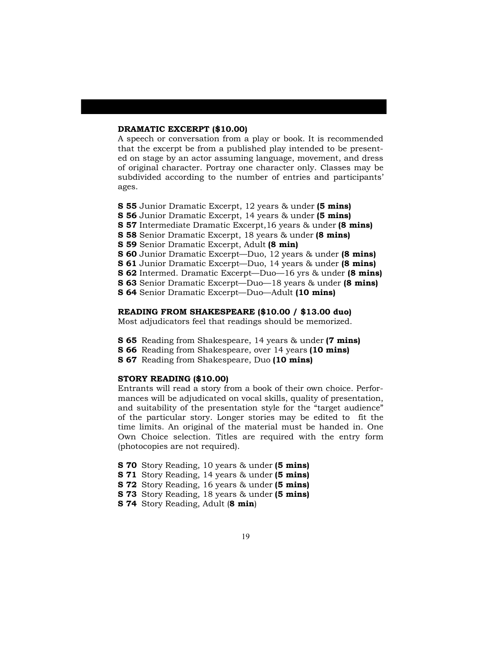#### **DRAMATIC EXCERPT (\$10.00)**

A speech or conversation from a play or book. It is recommended that the excerpt be from a published play intended to be presented on stage by an actor assuming language, movement, and dress of original character. Portray one character only. Classes may be subdivided according to the number of entries and participants' ages.

**S 55** Junior Dramatic Excerpt, 12 years & under **(5 mins) S 56** Junior Dramatic Excerpt, 14 years & under **(5 mins) S 57** Intermediate Dramatic Excerpt,16 years & under **(8 mins) S 58** Senior Dramatic Excerpt, 18 years & under **(8 mins) S 59** Senior Dramatic Excerpt, Adult **(8 min) S 60** Junior Dramatic Excerpt—Duo, 12 years & under **(8 mins) S 61** Junior Dramatic Excerpt—Duo, 14 years & under **(8 mins) S 62** Intermed. Dramatic Excerpt—Duo—16 yrs & under **(8 mins) S 63** Senior Dramatic Excerpt—Duo—18 years & under **(8 mins) S 64** Senior Dramatic Excerpt—Duo—Adult **(10 mins)**

### **READING FROM SHAKESPEARE (\$10.00 / \$13.00 duo)**

Most adjudicators feel that readings should be memorized.

- **S 65** Reading from Shakespeare, 14 years & under **(7 mins)**
- **S 66** Reading from Shakespeare, over 14 years **(10 mins)**
- **S 67** Reading from Shakespeare, Duo **(10 mins)**

## **STORY READING (\$10.00)**

Entrants will read a story from a book of their own choice. Performances will be adjudicated on vocal skills, quality of presentation, and suitability of the presentation style for the "target audience" of the particular story. Longer stories may be edited to fit the time limits. An original of the material must be handed in. One Own Choice selection. Titles are required with the entry form (photocopies are not required).

**S 70** Story Reading, 10 years & under **(5 mins)**

- **S 71** Story Reading, 14 years & under **(5 mins)**
- **S 72** Story Reading, 16 years & under **(5 mins)**
- **S 73** Story Reading, 18 years & under **(5 mins)**

**S 74** Story Reading, Adult (**8 min**)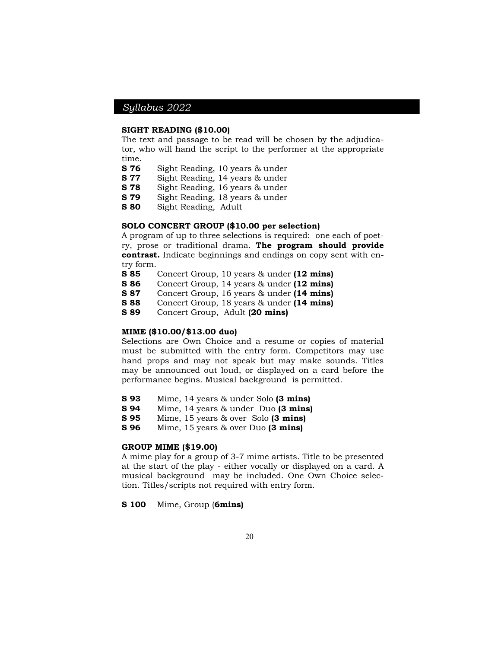#### **SIGHT READING (\$10.00)**

The text and passage to be read will be chosen by the adjudicator, who will hand the script to the performer at the appropriate time.

- **S 76** Sight Reading, 10 years & under
- **S 77** Sight Reading, 14 years & under
- **S 78** Sight Reading, 16 years & under
- **S 79** Sight Reading, 18 years & under
- **S 80** Sight Reading, Adult

## **SOLO CONCERT GROUP (\$10.00 per selection)**

A program of up to three selections is required: one each of poetry, prose or traditional drama. **The program should provide contrast.** Indicate beginnings and endings on copy sent with entry form.

- **S 85** Concert Group, 10 years & under **(12 mins)**
- **S 86** Concert Group, 14 years & under **(12 mins)**
- **S 87** Concert Group, 16 years & under **(14 mins)**
- **S 88** Concert Group, 18 years & under **(14 mins)**

**S 89** Concert Group, Adult **(20 mins)**

### **MIME (\$10.00/\$13.00 duo)**

Selections are Own Choice and a resume or copies of material must be submitted with the entry form. Competitors may use hand props and may not speak but may make sounds. Titles may be announced out loud, or displayed on a card before the performance begins. Musical background is permitted.

- **S 93** Mime, 14 years & under Solo **(3 mins)**
- **S 94** Mime, 14 years & under Duo **(3 mins)**

**S 95** Mime, 15 years & over Solo **(3 mins)**

**S 96** Mime, 15 years & over Duo **(3 mins)**

### **GROUP MIME (\$19.00)**

A mime play for a group of 3-7 mime artists. Title to be presented at the start of the play - either vocally or displayed on a card. A musical background may be included. One Own Choice selection. Titles/scripts not required with entry form.

**S 100** Mime, Group (**6mins)**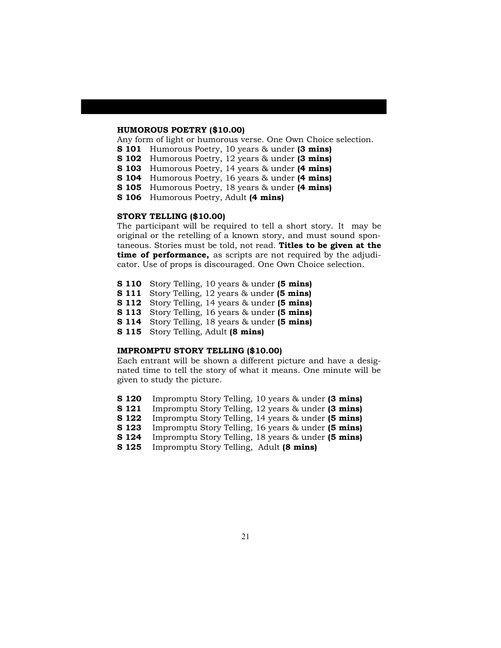#### **HUMOROUS POETRY (\$10.00)**

Any form of light or humorous verse. One Own Choice selection.

- **S 101** Humorous Poetry, 10 years & under **(3 mins)**
- **S 102** Humorous Poetry, 12 years & under **(3 mins)**
- **S 103** Humorous Poetry, 14 years & under **(4 mins)**
- **S 104** Humorous Poetry, 16 years & under **(4 mins)**
- **S 105** Humorous Poetry, 18 years & under **(4 mins)**
- **S 106** Humorous Poetry, Adult **(4 mins)**

### **STORY TELLING (\$10.00)**

The participant will be required to tell a short story. It may be original or the retelling of a known story, and must sound spontaneous. Stories must be told, not read. **Titles to be given at the time of performance,** as scripts are not required by the adjudicator. Use of props is discouraged. One Own Choice selection.

- **S 110** Story Telling, 10 years & under **(5 mins)**
- **S 111** Story Telling, 12 years & under **(5 mins)**
- **S 112** Story Telling, 14 years & under **(5 mins)**
- **S 113** Story Telling, 16 years & under **(5 mins)**
- **S 114** Story Telling, 18 years & under **(5 mins)**
- **S 115** Story Telling, Adult **(8 mins)**

#### **IMPROMPTU STORY TELLING (\$10.00)**

Each entrant will be shown a different picture and have a designated time to tell the story of what it means. One minute will be given to study the picture.

- **S 120** Impromptu Story Telling, 10 years & under **(3 mins)**
- **S 121** Impromptu Story Telling, 12 years & under **(3 mins)**
- **S 122** Impromptu Story Telling, 14 years & under **(5 mins)**
- **S 123** Impromptu Story Telling, 16 years & under **(5 mins)**
- **S 124** Impromptu Story Telling, 18 years & under **(5 mins)**
- **S 125** Impromptu Story Telling, Adult **(8 mins)**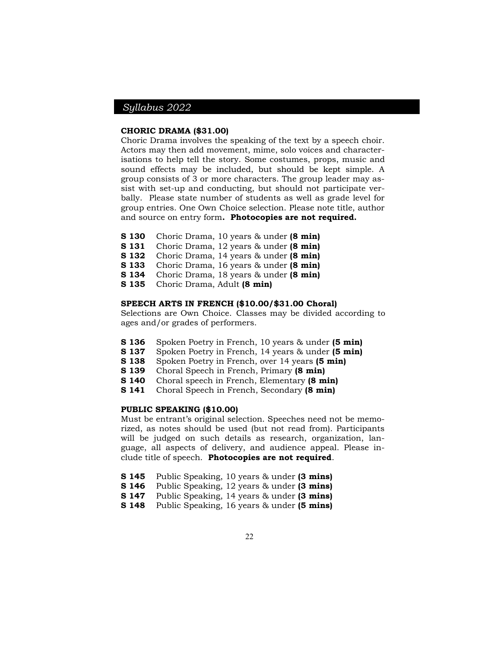## **CHORIC DRAMA (\$31.00)**

Choric Drama involves the speaking of the text by a speech choir. Actors may then add movement, mime, solo voices and characterisations to help tell the story. Some costumes, props, music and sound effects may be included, but should be kept simple. A group consists of 3 or more characters. The group leader may assist with set-up and conducting, but should not participate verbally. Please state number of students as well as grade level for group entries. One Own Choice selection. Please note title, author and source on entry form**. Photocopies are not required.**

- **S 130** Choric Drama, 10 years & under **(8 min)**
- **S 131** Choric Drama, 12 years & under **(8 min)**
- **S 132** Choric Drama, 14 years & under **(8 min)**
- **S 133** Choric Drama, 16 years & under **(8 min)**
- **S 134** Choric Drama, 18 years & under **(8 min)**
- **S 135** Choric Drama, Adult **(8 min)**

## **SPEECH ARTS IN FRENCH (\$10.00/\$31.00 Choral)**

Selections are Own Choice. Classes may be divided according to ages and/or grades of performers.

- **S 136** Spoken Poetry in French, 10 years & under **(5 min)**
- **S 137** Spoken Poetry in French, 14 years & under **(5 min)**
- **S 138** Spoken Poetry in French, over 14 years **(5 min)**
- **S 139** Choral Speech in French, Primary **(8 min)**
- **S 140** Choral speech in French, Elementary **(8 min)**
- **S 141** Choral Speech in French, Secondary **(8 min)**

### **PUBLIC SPEAKING (\$10.00)**

Must be entrant's original selection. Speeches need not be memorized, as notes should be used (but not read from). Participants will be judged on such details as research, organization, language, all aspects of delivery, and audience appeal. Please include title of speech. **Photocopies are not required**.

- **S 145** Public Speaking, 10 years & under **(3 mins)**
- **S 146** Public Speaking, 12 years & under **(3 mins)**
- **S 147** Public Speaking, 14 years & under **(3 mins)**
- **S 148** Public Speaking, 16 years & under **(5 mins)**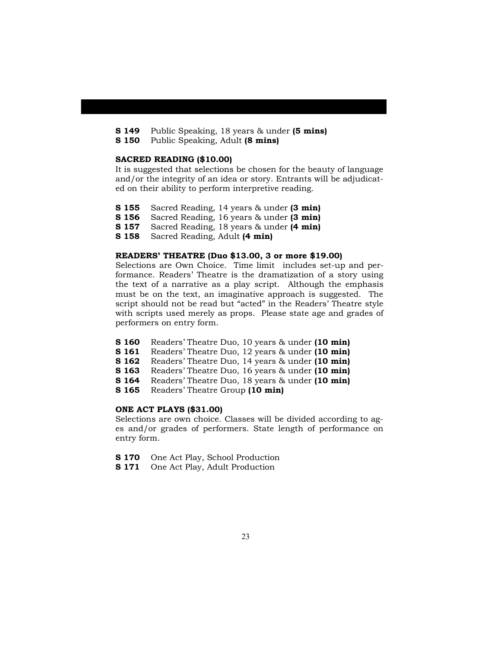- **S 149** Public Speaking, 18 years & under **(5 mins)**
- **S 150** Public Speaking, Adult **(8 mins)**

#### **SACRED READING (\$10.00)**

It is suggested that selections be chosen for the beauty of language and/or the integrity of an idea or story. Entrants will be adjudicated on their ability to perform interpretive reading.

- **S 155** Sacred Reading, 14 years & under **(3 min)**
- **S 156** Sacred Reading, 16 years & under **(3 min)**
- **S 157** Sacred Reading, 18 years & under **(4 min)**
- **S 158** Sacred Reading, Adult **(4 min)**

### **READERS' THEATRE (Duo \$13.00, 3 or more \$19.00)**

Selections are Own Choice. Time limit includes set-up and performance. Readers' Theatre is the dramatization of a story using the text of a narrative as a play script. Although the emphasis must be on the text, an imaginative approach is suggested. The script should not be read but "acted" in the Readers' Theatre style with scripts used merely as props. Please state age and grades of performers on entry form.

- **S 160** Readers' Theatre Duo, 10 years & under **(10 min)**
- **S 161** Readers' Theatre Duo, 12 years & under **(10 min)**
- **S 162** Readers' Theatre Duo, 14 years & under **(10 min)**
- **S 163** Readers' Theatre Duo, 16 years & under **(10 min)**
- **S 164** Readers' Theatre Duo, 18 years & under **(10 min)**

**S 165** Readers' Theatre Group **(10 min)**

## **ONE ACT PLAYS (\$31.00)**

Selections are own choice. Classes will be divided according to ages and/or grades of performers. State length of performance on entry form.

- **S 170** One Act Play, School Production
- **S 171** One Act Play, Adult Production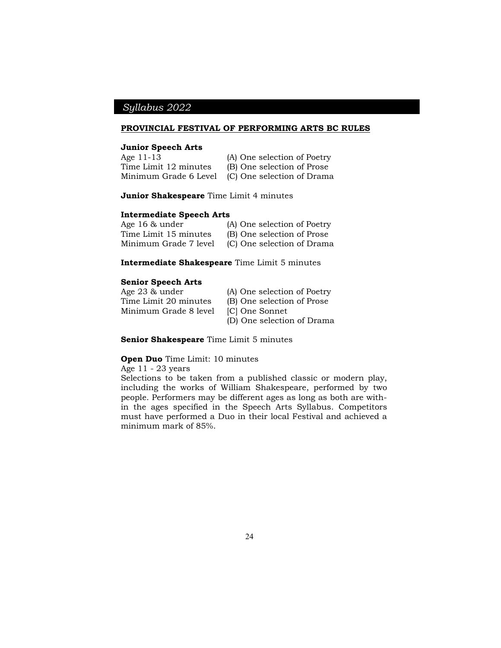### **PROVINCIAL FESTIVAL OF PERFORMING ARTS BC RULES**

#### **Junior Speech Arts**

| --------------------- |                             |
|-----------------------|-----------------------------|
| Age 11-13             | (A) One selection of Poetry |
| Time Limit 12 minutes | (B) One selection of Prose  |
| Minimum Grade 6 Level | (C) One selection of Drama  |

#### **Junior Shakespeare** Time Limit 4 minutes

### **Intermediate Speech Arts**

| Age 16 & under        | (A) One selection of Poetry |
|-----------------------|-----------------------------|
| Time Limit 15 minutes | (B) One selection of Prose  |
| Minimum Grade 7 level | (C) One selection of Drama  |

**Intermediate Shakespeare** Time Limit 5 minutes

#### **Senior Speech Arts**

Age 23 & under (A) One selection of Poetry<br>Time Limit 20 minutes (B) One selection of Prose Minimum Grade 8 level

- 
- (B) One selection of Prose<br>[C] One Sonnet
- 
- (D) One selection of Drama

#### **Senior Shakespeare** Time Limit 5 minutes

#### **Open Duo** Time Limit: 10 minutes

Age 11 - 23 years

Selections to be taken from a published classic or modern play, including the works of William Shakespeare, performed by two people. Performers may be different ages as long as both are within the ages specified in the Speech Arts Syllabus. Competitors must have performed a Duo in their local Festival and achieved a minimum mark of 85%.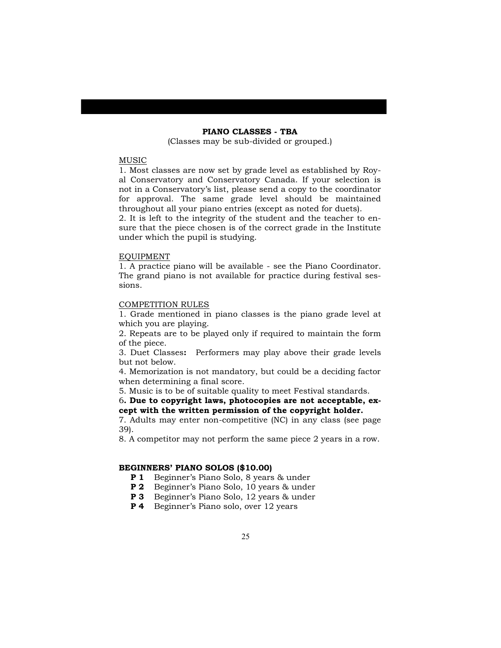## **PIANO CLASSES - TBA**

(Classes may be sub-divided or grouped.)

#### MUSIC

1. Most classes are now set by grade level as established by Royal Conservatory and Conservatory Canada. If your selection is not in a Conservatory's list, please send a copy to the coordinator for approval. The same grade level should be maintained throughout all your piano entries (except as noted for duets).

2. It is left to the integrity of the student and the teacher to ensure that the piece chosen is of the correct grade in the Institute under which the pupil is studying.

#### EQUIPMENT

1. A practice piano will be available - see the Piano Coordinator. The grand piano is not available for practice during festival sessions.

#### COMPETITION RULES

1. Grade mentioned in piano classes is the piano grade level at which you are playing.

2. Repeats are to be played only if required to maintain the form of the piece.

3. Duet Classes**:** Performers may play above their grade levels but not below.

4. Memorization is not mandatory, but could be a deciding factor when determining a final score.

5. Music is to be of suitable quality to meet Festival standards.

6**. Due to copyright laws, photocopies are not acceptable, except with the written permission of the copyright holder.**

7. Adults may enter non-competitive (NC) in any class (see page 39).

8. A competitor may not perform the same piece 2 years in a row.

### **BEGINNERS' PIANO SOLOS (\$10.00)**

- **P 1** Beginner's Piano Solo, 8 years & under
- **P 2** Beginner's Piano Solo, 10 years & under
- **P 3** Beginner's Piano Solo, 12 years & under
- **P 4** Beginner's Piano solo, over 12 years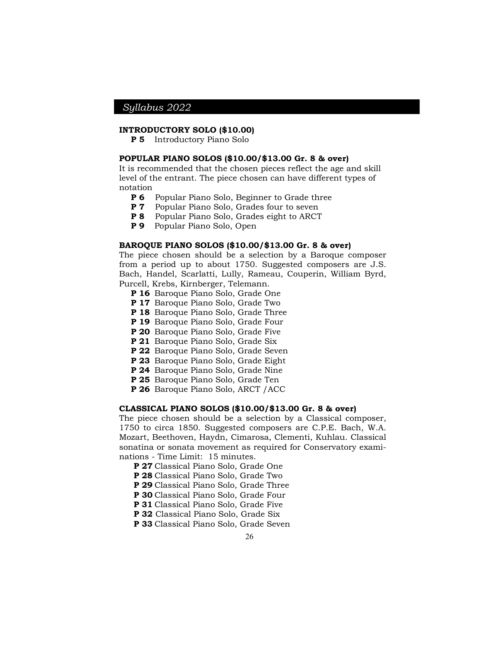## **INTRODUCTORY SOLO (\$10.00)**

**P 5** Introductory Piano Solo

#### **POPULAR PIANO SOLOS (\$10.00/\$13.00 Gr. 8 & over)**

It is recommended that the chosen pieces reflect the age and skill level of the entrant. The piece chosen can have different types of notation

- **P 6** Popular Piano Solo, Beginner to Grade three
- **P 7** Popular Piano Solo, Grades four to seven
- **P 8** Popular Piano Solo, Grades eight to ARCT
- **P 9** Popular Piano Solo, Open

### **BAROQUE PIANO SOLOS (\$10.00/\$13.00 Gr. 8 & over)**

The piece chosen should be a selection by a Baroque composer from a period up to about 1750. Suggested composers are J.S. Bach, Handel, Scarlatti, Lully, Rameau, Couperin, William Byrd, Purcell, Krebs, Kirnberger, Telemann.

- **P 16** Baroque Piano Solo, Grade One
- **P 17** Baroque Piano Solo, Grade Two
- **P 18** Baroque Piano Solo, Grade Three
- **P 19** Baroque Piano Solo, Grade Four
- **P 20** Baroque Piano Solo, Grade Five
- **P 21** Baroque Piano Solo, Grade Six
- **P 22** Baroque Piano Solo, Grade Seven
- **P 23** Baroque Piano Solo, Grade Eight
- **P 24** Baroque Piano Solo, Grade Nine
- **P 25** Baroque Piano Solo, Grade Ten
- **P 26** Baroque Piano Solo, ARCT /ACC

#### **CLASSICAL PIANO SOLOS (\$10.00/\$13.00 Gr. 8 & over)**

The piece chosen should be a selection by a Classical composer, 1750 to circa 1850. Suggested composers are C.P.E. Bach, W.A. Mozart, Beethoven, Haydn, Cimarosa, Clementi, Kuhlau. Classical sonatina or sonata movement as required for Conservatory examinations - Time Limit: 15 minutes.

- **P 27** Classical Piano Solo, Grade One
- **P 28** Classical Piano Solo, Grade Two
- **P 29** Classical Piano Solo, Grade Three
- **P 30** Classical Piano Solo, Grade Four
- **P 31** Classical Piano Solo, Grade Five
- **P 32** Classical Piano Solo, Grade Six
- **P 33** Classical Piano Solo, Grade Seven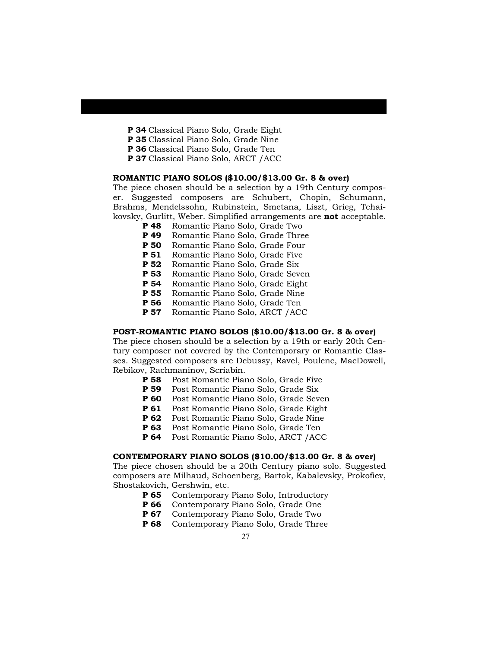- **P 34** Classical Piano Solo, Grade Eight
- **P 35** Classical Piano Solo, Grade Nine
- **P 36** Classical Piano Solo, Grade Ten
- **P 37** Classical Piano Solo, ARCT /ACC

### **ROMANTIC PIANO SOLOS (\$10.00/\$13.00 Gr. 8 & over)**

The piece chosen should be a selection by a 19th Century composer. Suggested composers are Schubert, Chopin, Schumann, Brahms, Mendelssohn, Rubinstein, Smetana, Liszt, Grieg, Tchaikovsky, Gurlitt, Weber. Simplified arrangements are **not** acceptable.

- **P 48** Romantic Piano Solo, Grade Two
- **P 49** Romantic Piano Solo, Grade Three
- **P 50** Romantic Piano Solo, Grade Four
- **P 51** Romantic Piano Solo, Grade Five
- **P 52** Romantic Piano Solo, Grade Six
- **P 53** Romantic Piano Solo, Grade Seven
- **P 54** Romantic Piano Solo, Grade Eight
- **P 55** Romantic Piano Solo, Grade Nine
- **P 56** Romantic Piano Solo, Grade Ten
- **P 57** Romantic Piano Solo, ARCT /ACC

## **POST-ROMANTIC PIANO SOLOS (\$10.00/\$13.00 Gr. 8 & over)**

The piece chosen should be a selection by a 19th or early 20th Century composer not covered by the Contemporary or Romantic Classes. Suggested composers are Debussy, Ravel, Poulenc, MacDowell, Rebikov, Rachmaninov, Scriabin.

- **P 58** Post Romantic Piano Solo, Grade Five
- **P 59** Post Romantic Piano Solo, Grade Six
- **P 60** Post Romantic Piano Solo, Grade Seven
- **P 61** Post Romantic Piano Solo, Grade Eight
- **P 62** Post Romantic Piano Solo, Grade Nine
- **P 63** Post Romantic Piano Solo, Grade Ten
- **P 64** Post Romantic Piano Solo, ARCT /ACC

### **CONTEMPORARY PIANO SOLOS (\$10.00/\$13.00 Gr. 8 & over)**

The piece chosen should be a 20th Century piano solo. Suggested composers are Milhaud, Schoenberg, Bartok, Kabalevsky, Prokofiev, Shostakovich, Gershwin, etc.

- **P 65** Contemporary Piano Solo, Introductory<br>**P 66** Contemporary Piano Solo, Grade One
- Contemporary Piano Solo, Grade One
- **P 67** Contemporary Piano Solo, Grade Two
- **P 68** Contemporary Piano Solo, Grade Three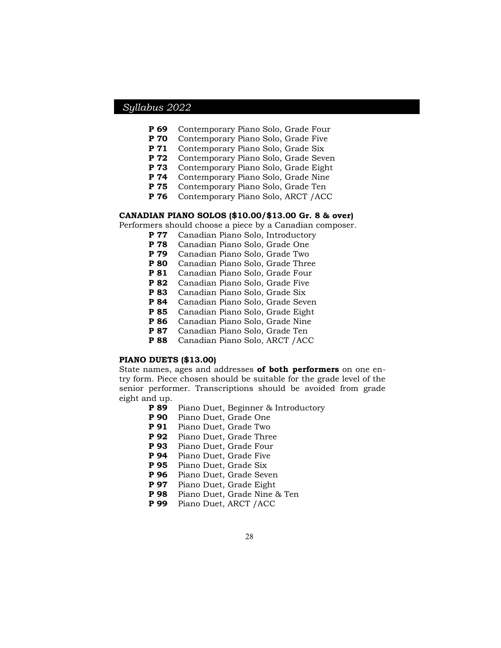- **P 69** Contemporary Piano Solo, Grade Four
- **P 70** Contemporary Piano Solo, Grade Five
- **P 71** Contemporary Piano Solo, Grade Six
- **P 72** Contemporary Piano Solo, Grade Seven
- **P 73** Contemporary Piano Solo, Grade Eight
- **P 74** Contemporary Piano Solo, Grade Nine
- **P 75** Contemporary Piano Solo, Grade Ten
- **P 76** Contemporary Piano Solo, ARCT /ACC

### **CANADIAN PIANO SOLOS (\$10.00/\$13.00 Gr. 8 & over)**

Performers should choose a piece by a Canadian composer.

- **P 77** Canadian Piano Solo, Introductory
- **P 78** Canadian Piano Solo, Grade One
- **P 79** Canadian Piano Solo, Grade Two
- **P 80** Canadian Piano Solo, Grade Three
- **P 81** Canadian Piano Solo, Grade Four
- **P 82** Canadian Piano Solo, Grade Five
- **P 83** Canadian Piano Solo, Grade Six
- **P 84** Canadian Piano Solo, Grade Seven
- **P 85** Canadian Piano Solo, Grade Eight
- **P 86** Canadian Piano Solo, Grade Nine
- **P 87** Canadian Piano Solo, Grade Ten
- **P 88** Canadian Piano Solo, ARCT /ACC

## **PIANO DUETS (\$13.00)**

State names, ages and addresses **of both performers** on one entry form. Piece chosen should be suitable for the grade level of the senior performer. Transcriptions should be avoided from grade eight and up.

- **P 89** Piano Duet, Beginner & Introductory
- **P 90** Piano Duet, Grade One
- **P 91** Piano Duet, Grade Two
- **P 92** Piano Duet, Grade Three
- **P 93** Piano Duet, Grade Four
- **P 94** Piano Duet, Grade Five
- **P 95** Piano Duet, Grade Six
- **P 96** Piano Duet, Grade Seven
- **P 97** Piano Duet, Grade Eight
- **P 98** Piano Duet, Grade Nine & Ten
- **P 99** Piano Duet, ARCT /ACC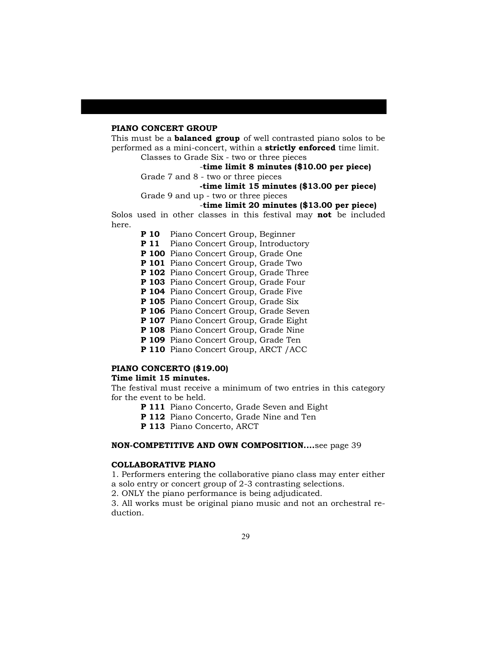#### **PIANO CONCERT GROUP**

This must be a **balanced group** of well contrasted piano solos to be performed as a mini-concert, within a **strictly enforced** time limit.

Classes to Grade Six - two or three pieces

## -**time limit 8 minutes (\$10.00 per piece)**

Grade 7 and 8 - two or three pieces

## **-time limit 15 minutes (\$13.00 per piece)**

Grade 9 and up - two or three pieces

## -**time limit 20 minutes (\$13.00 per piece)**

Solos used in other classes in this festival may **not** be included here.

**P 10** Piano Concert Group, Beginner

**P 11** Piano Concert Group, Introductory

- **P 100** Piano Concert Group, Grade One
- **P 101** Piano Concert Group, Grade Two
- **P 102** Piano Concert Group, Grade Three
- **P 103** Piano Concert Group, Grade Four
- **P 104** Piano Concert Group, Grade Five
- **P 105** Piano Concert Group, Grade Six
- P 106 Piano Concert Group, Grade Seven
- **P 107** Piano Concert Group, Grade Eight
- **P 108** Piano Concert Group, Grade Nine
- **P 109** Piano Concert Group, Grade Ten
- **P 110** Piano Concert Group, ARCT /ACC

## **PIANO CONCERTO (\$19.00)**

## **Time limit 15 minutes.**

The festival must receive a minimum of two entries in this category for the event to be held.

- **P 111** Piano Concerto, Grade Seven and Eight
- **P 112** Piano Concerto, Grade Nine and Ten
- **P 113** Piano Concerto, ARCT

### **NON-COMPETITIVE AND OWN COMPOSITION....**see page 39

### **COLLABORATIVE PIANO**

1. Performers entering the collaborative piano class may enter either a solo entry or concert group of 2-3 contrasting selections.

2. ONLY the piano performance is being adjudicated.

3. All works must be original piano music and not an orchestral reduction.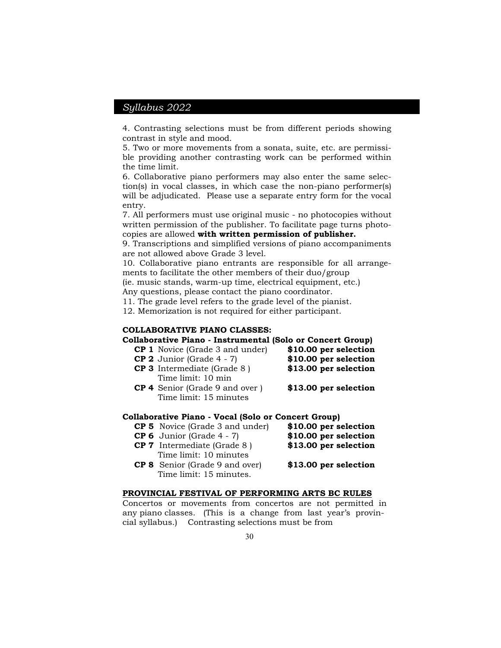4. Contrasting selections must be from different periods showing contrast in style and mood.

5. Two or more movements from a sonata, suite, etc. are permissible providing another contrasting work can be performed within the time limit.

6. Collaborative piano performers may also enter the same selection(s) in vocal classes, in which case the non-piano performer(s) will be adjudicated. Please use a separate entry form for the vocal entry.

7. All performers must use original music - no photocopies without written permission of the publisher. To facilitate page turns photocopies are allowed **with written permission of publisher.**

9. Transcriptions and simplified versions of piano accompaniments are not allowed above Grade 3 level.

10. Collaborative piano entrants are responsible for all arrangements to facilitate the other members of their duo/group

(ie. music stands, warm-up time, electrical equipment, etc.)

Any questions, please contact the piano coordinator.

11. The grade level refers to the grade level of the pianist.

12. Memorization is not required for either participant.

## **COLLABORATIVE PIANO CLASSES:**

**Collaborative Piano - Instrumental (Solo or Concert Group)**

- **CP 1** Novice (Grade 3 and under) **\$10.00 per selection**
- **CP 2** Junior (Grade 4 7) **\$10.00 per selection**
- **CP 3** Intermediate (Grade 8 ) **\$13.00 per selection** Time limit: 10 min
- **CP 4** Senior (Grade 9 and over ) **\$13.00 per selection** Time limit: 15 minutes

#### **Collaborative Piano - Vocal (Solo or Concert Group)**

| <b>CP 5</b> Novice (Grade 3 and under) | \$10.00 per selection |
|----------------------------------------|-----------------------|
| <b>CP 6</b> Junior (Grade $4 - 7$ )    | \$10.00 per selection |
| <b>CP 7</b> Intermediate (Grade 8)     | \$13.00 per selection |
| Time limit: 10 minutes                 |                       |
| <b>CP 8</b> Senior (Grade 9 and over)  | \$13.00 per selection |
| Time limit: 15 minutes.                |                       |

#### **PROVINCIAL FESTIVAL OF PERFORMING ARTS BC RULES**

Concertos or movements from concertos are not permitted in any piano classes. (This is a change from last year's provincial syllabus.) Contrasting selections must be from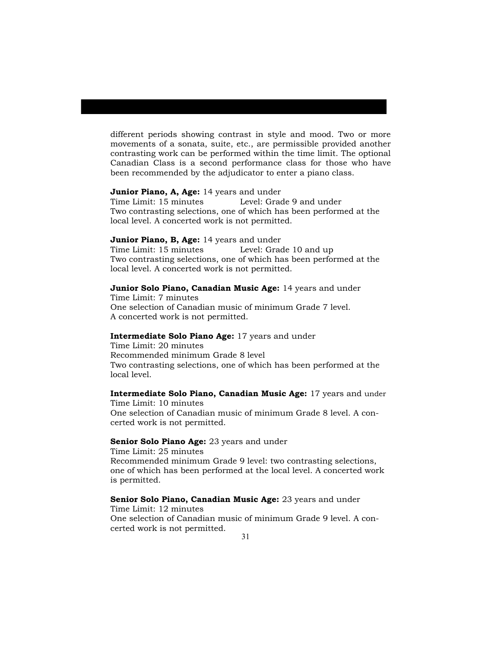different periods showing contrast in style and mood. Two or more movements of a sonata, suite, etc., are permissible provided another contrasting work can be performed within the time limit. The optional Canadian Class is a second performance class for those who have been recommended by the adjudicator to enter a piano class.

#### **Junior Piano, A, Age:** 14 years and under

Time Limit: 15 minutes Level: Grade 9 and under Two contrasting selections, one of which has been performed at the local level. A concerted work is not permitted.

## **Junior Piano, B, Age:** 14 years and under

Time Limit: 15 minutes Level: Grade 10 and up Two contrasting selections, one of which has been performed at the local level. A concerted work is not permitted.

## **Junior Solo Piano, Canadian Music Age:** 14 years and under

Time Limit: 7 minutes One selection of Canadian music of minimum Grade 7 level. A concerted work is not permitted.

#### **Intermediate Solo Piano Age:** 17 years and under

Time Limit: 20 minutes Recommended minimum Grade 8 level Two contrasting selections, one of which has been performed at the local level.

## **Intermediate Solo Piano, Canadian Music Age:** 17 years and under

Time Limit: 10 minutes One selection of Canadian music of minimum Grade 8 level. A concerted work is not permitted.

#### **Senior Solo Piano Age:** 23 years and under

Time Limit: 25 minutes Recommended minimum Grade 9 level: two contrasting selections, one of which has been performed at the local level. A concerted work is permitted.

## **Senior Solo Piano, Canadian Music Age:** 23 years and under

Time Limit: 12 minutes One selection of Canadian music of minimum Grade 9 level. A concerted work is not permitted.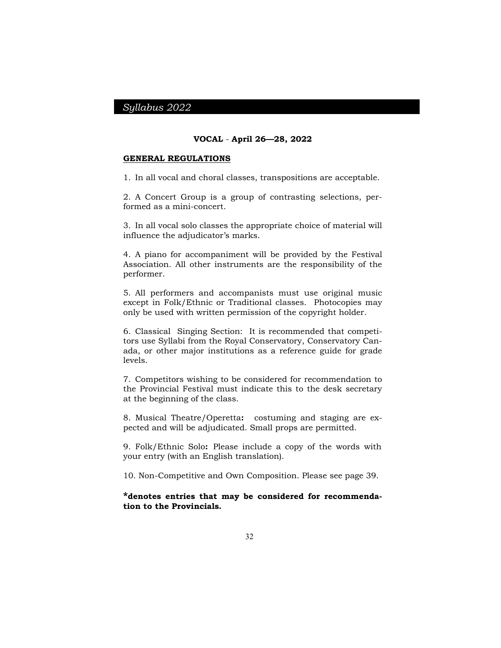#### **VOCAL** - **April 26—28, 2022**

#### **GENERAL REGULATIONS**

1. In all vocal and choral classes, transpositions are acceptable.

2. A Concert Group is a group of contrasting selections, performed as a mini-concert.

3. In all vocal solo classes the appropriate choice of material will influence the adjudicator's marks.

4. A piano for accompaniment will be provided by the Festival Association. All other instruments are the responsibility of the performer.

5. All performers and accompanists must use original music except in Folk/Ethnic or Traditional classes. Photocopies may only be used with written permission of the copyright holder.

6. Classical Singing Section: It is recommended that competitors use Syllabi from the Royal Conservatory, Conservatory Canada, or other major institutions as a reference guide for grade levels.

7. Competitors wishing to be considered for recommendation to the Provincial Festival must indicate this to the desk secretary at the beginning of the class.

8. Musical Theatre/Operetta**:** costuming and staging are expected and will be adjudicated. Small props are permitted.

9. Folk/Ethnic Solo**:** Please include a copy of the words with your entry (with an English translation).

10. Non-Competitive and Own Composition. Please see page 39.

**\*denotes entries that may be considered for recommendation to the Provincials.**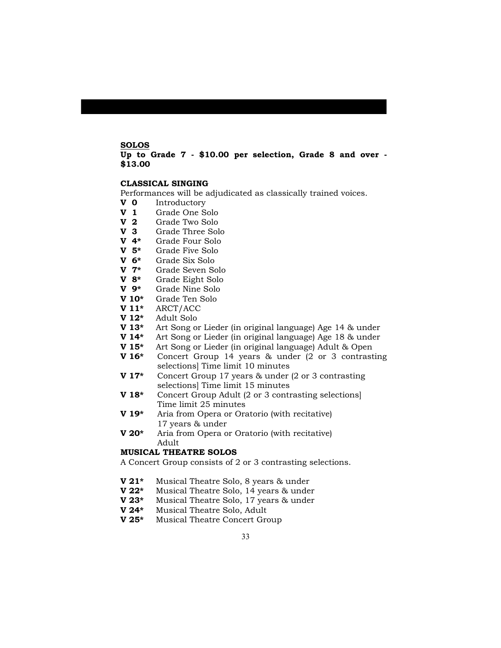## **SOLOS**

## **Up to Grade 7 - \$10.00 per selection, Grade 8 and over - \$13.00**

#### **CLASSICAL SINGING**

Performances will be adjudicated as classically trained voices.

- **V 0** Introductory
- **V 1** Grade One Solo
- **V 2** Grade Two Solo
- **V 3** Grade Three Solo
- **V 4\*** Grade Four Solo
- **V 5\*** Grade Five Solo
- **V 6\*** Grade Six Solo
- **V 7\*** Grade Seven Solo
- **V 8\*** Grade Eight Solo
- **V 9\*** Grade Nine Solo
- **V 10\*** Grade Ten Solo
- **V 11\*** ARCT/ACC
- **V 12\*** Adult Solo
- **V 13\*** Art Song or Lieder (in original language) Age 14 & under
- **V 14\*** Art Song or Lieder (in original language) Age 18 & under
- **V 15\*** Art Song or Lieder (in original language) Adult & Open
- **V 16\*** Concert Group 14 years & under (2 or 3 contrasting selections] Time limit 10 minutes
- **V 17\*** Concert Group 17 years & under (2 or 3 contrasting selections] Time limit 15 minutes
- **V 18\*** Concert Group Adult (2 or 3 contrasting selections] Time limit 25 minutes
- **V 19\*** Aria from Opera or Oratorio (with recitative) 17 years & under
- **V 20\*** Aria from Opera or Oratorio (with recitative) Adult

#### **MUSICAL THEATRE SOLOS**

A Concert Group consists of 2 or 3 contrasting selections.

- **V 21\*** Musical Theatre Solo, 8 years & under
- **V 22\*** Musical Theatre Solo, 14 years & under
- Musical Theatre Solo, 17 years & under
- **V 24\*** Musical Theatre Solo, Adult
- **V 25\*** Musical Theatre Concert Group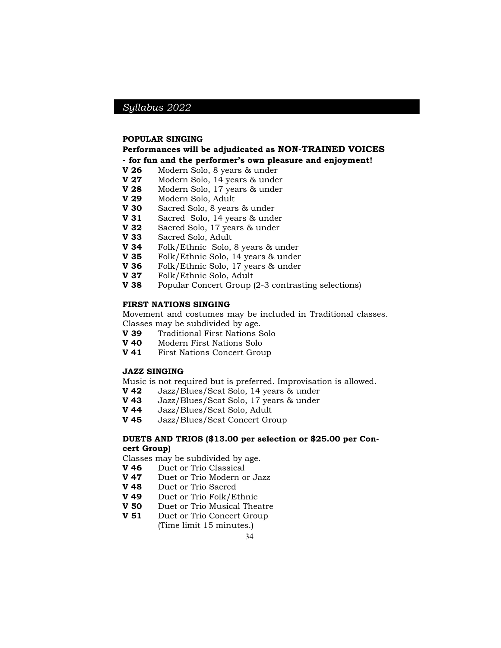#### **POPULAR SINGING**

## **Performances will be adjudicated as NON-TRAINED VOICES - for fun and the performer's own pleasure and enjoyment!**

- **V 26** Modern Solo, 8 years & under
- **V 27** Modern Solo, 14 years & under
- **V 28** Modern Solo, 17 years & under
- **V 29** Modern Solo, Adult
- **V 30** Sacred Solo, 8 years & under
- **V 31** Sacred Solo, 14 years & under
- **V 32** Sacred Solo, 17 years & under
- **V 33** Sacred Solo, Adult
- **V 34** Folk/Ethnic Solo, 8 years & under
- **V 35** Folk/Ethnic Solo, 14 years & under
- **V 36** Folk/Ethnic Solo, 17 years & under
- **V 37** Folk/Ethnic Solo, Adult
- **V 38** Popular Concert Group (2-3 contrasting selections)

### **FIRST NATIONS SINGING**

Movement and costumes may be included in Traditional classes.

Classes may be subdivided by age.

- **V 39** Traditional First Nations Solo
- **V 40** Modern First Nations Solo
- **V 41** First Nations Concert Group

#### **JAZZ SINGING**

Music is not required but is preferred. Improvisation is allowed.

- **V 42** Jazz/Blues/Scat Solo, 14 years & under<br>**V 43** Jazz/Blues/Scat Solo, 17 years & under
- **V 43** Jazz/Blues/Scat Solo, 17 years & under
- **V 44** Jazz/Blues/Scat Solo, Adult
- **V 45** Jazz/Blues/Scat Concert Group

## **DUETS AND TRIOS (\$13.00 per selection or \$25.00 per Concert Group)**

Classes may be subdivided by age.

- **V 46** Duet or Trio Classical
- **V 47** Duet or Trio Modern or Jazz
- **V 48** Duet or Trio Sacred
- **V 49** Duet or Trio Folk/Ethnic
- **V 50** Duet or Trio Musical Theatre
- **V 51** Duet or Trio Concert Group

(Time limit 15 minutes.)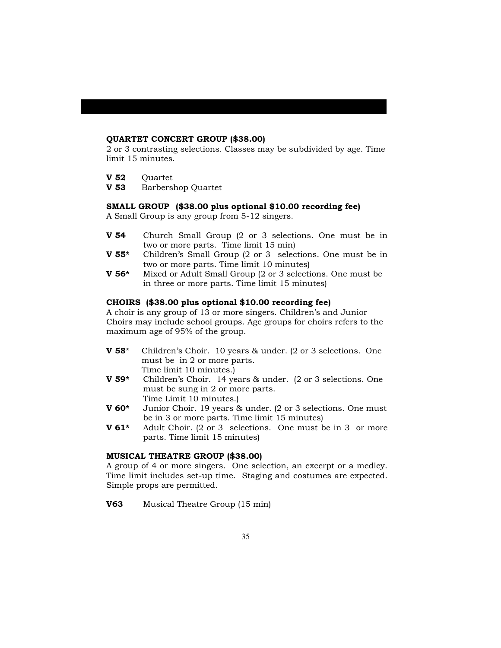## **QUARTET CONCERT GROUP (\$38.00)**

2 or 3 contrasting selections. Classes may be subdivided by age. Time limit 15 minutes.

- **V 52** Ouartet
- **V 53** Barbershop Quartet

### **SMALL GROUP (\$38.00 plus optional \$10.00 recording fee)**

A Small Group is any group from 5-12 singers.

- **V 54** Church Small Group (2 or 3 selections. One must be in two or more parts. Time limit 15 min)
- **V 55\*** Children's Small Group (2 or 3 selections. One must be in two or more parts. Time limit 10 minutes)
- **V 56\*** Mixed or Adult Small Group (2 or 3 selections. One must be in three or more parts. Time limit 15 minutes)

## **CHOIRS (\$38.00 plus optional \$10.00 recording fee)**

A choir is any group of 13 or more singers. Children's and Junior Choirs may include school groups. Age groups for choirs refers to the maximum age of 95% of the group.

- **V 58**\* Children's Choir. 10 years & under. (2 or 3 selections. One must be in 2 or more parts. Time limit 10 minutes.)
- **V 59\*** Children's Choir. 14 years & under. (2 or 3 selections. One must be sung in 2 or more parts. Time Limit 10 minutes.)
- **V 60\*** Junior Choir. 19 years & under. (2 or 3 selections. One must be in 3 or more parts. Time limit 15 minutes)
- **V 61\*** Adult Choir. (2 or 3 selections. One must be in 3 or more parts. Time limit 15 minutes)

### **MUSICAL THEATRE GROUP (\$38.00)**

A group of 4 or more singers. One selection, an excerpt or a medley. Time limit includes set-up time. Staging and costumes are expected. Simple props are permitted.

**V63** Musical Theatre Group (15 min)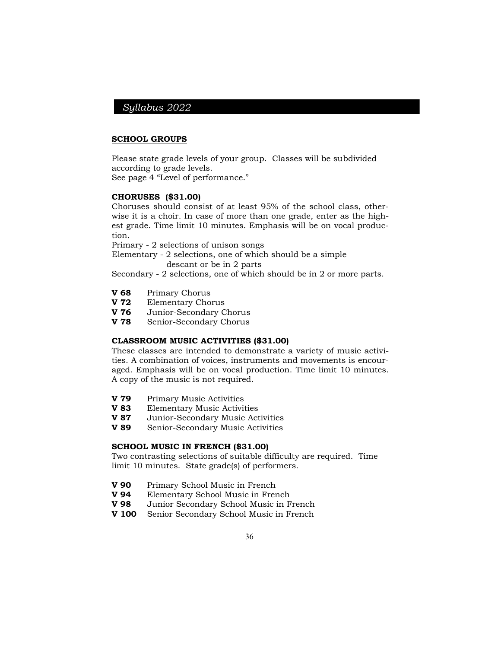#### **SCHOOL GROUPS**

Please state grade levels of your group. Classes will be subdivided according to grade levels.

See page 4 "Level of performance."

### **CHORUSES (\$31.00)**

Choruses should consist of at least 95% of the school class, otherwise it is a choir. In case of more than one grade, enter as the highest grade. Time limit 10 minutes. Emphasis will be on vocal production.

Primary - 2 selections of unison songs

Elementary - 2 selections, one of which should be a simple descant or be in 2 parts

Secondary - 2 selections, one of which should be in 2 or more parts.

- **V 68** Primary Chorus
- **V 72** Elementary Chorus
- **V 76** Junior-Secondary Chorus
- **V 78** Senior-Secondary Chorus

### **CLASSROOM MUSIC ACTIVITIES (\$31.00)**

These classes are intended to demonstrate a variety of music activities. A combination of voices, instruments and movements is encouraged. Emphasis will be on vocal production. Time limit 10 minutes. A copy of the music is not required.

- **V 79** Primary Music Activities
- **V 83** Elementary Music Activities
- **V 87** Junior-Secondary Music Activities
- **V 89** Senior-Secondary Music Activities

### **SCHOOL MUSIC IN FRENCH (\$31.00)**

Two contrasting selections of suitable difficulty are required. Time limit 10 minutes. State grade(s) of performers.

- **V 90** Primary School Music in French
- **V 94** Elementary School Music in French
- **V 98** Junior Secondary School Music in French
- **V 100** Senior Secondary School Music in French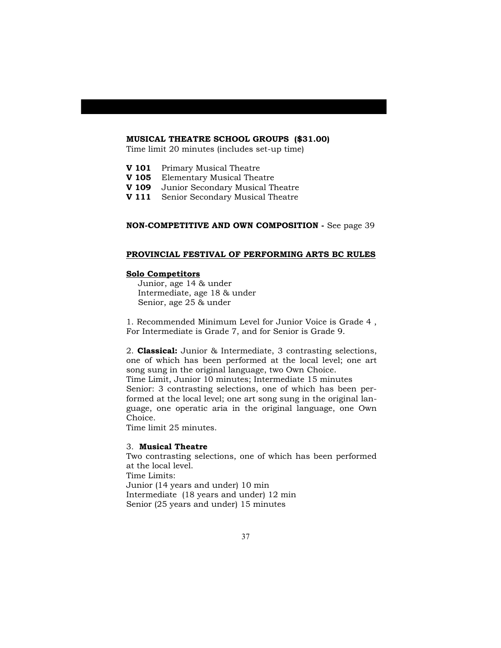#### **MUSICAL THEATRE SCHOOL GROUPS (\$31.00)**

Time limit 20 minutes (includes set-up time)

- **V 101** Primary Musical Theatre
- **V 105** Elementary Musical Theatre
- **V 109** Junior Secondary Musical Theatre
- **V 111** Senior Secondary Musical Theatre

### **NON-COMPETITIVE AND OWN COMPOSITION -** See page 39

#### **PROVINCIAL FESTIVAL OF PERFORMING ARTS BC RULES**

#### **Solo Competitors**

Junior, age 14 & under Intermediate, age 18 & under Senior, age 25 & under

1. Recommended Minimum Level for Junior Voice is Grade 4 , For Intermediate is Grade 7, and for Senior is Grade 9.

2. **Classical:** Junior & Intermediate, 3 contrasting selections, one of which has been performed at the local level; one art song sung in the original language, two Own Choice. Time Limit, Junior 10 minutes; Intermediate 15 minutes Senior: 3 contrasting selections, one of which has been performed at the local level; one art song sung in the original language, one operatic aria in the original language, one Own Choice.

Time limit 25 minutes.

## 3. **Musical Theatre**

Two contrasting selections, one of which has been performed at the local level. Time Limits: Junior (14 years and under) 10 min Intermediate (18 years and under) 12 min Senior (25 years and under) 15 minutes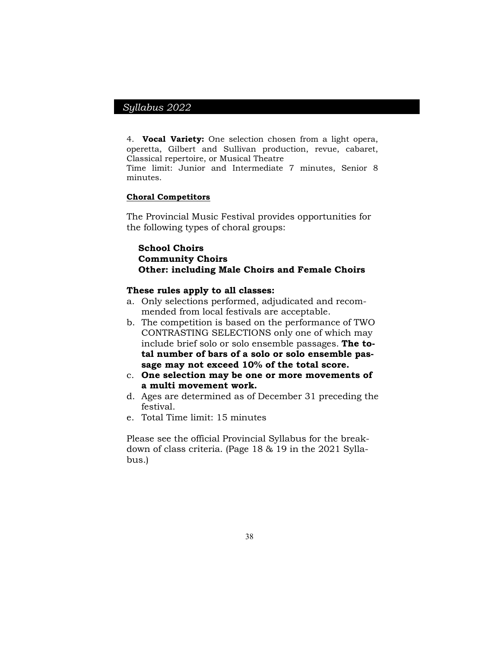4. **Vocal Variety:** One selection chosen from a light opera, operetta, Gilbert and Sullivan production, revue, cabaret, Classical repertoire, or Musical Theatre

Time limit: Junior and Intermediate 7 minutes, Senior 8 minutes.

## **Choral Competitors**

The Provincial Music Festival provides opportunities for the following types of choral groups:

## **School Choirs Community Choirs Other: including Male Choirs and Female Choirs**

#### **These rules apply to all classes:**

- a. Only selections performed, adjudicated and recommended from local festivals are acceptable.
- b. The competition is based on the performance of TWO CONTRASTING SELECTIONS only one of which may include brief solo or solo ensemble passages. **The total number of bars of a solo or solo ensemble passage may not exceed 10% of the total score.**
- c. **One selection may be one or more movements of a multi movement work.**
- d. Ages are determined as of December 31 preceding the festival.
- e. Total Time limit: 15 minutes

Please see the official Provincial Syllabus for the breakdown of class criteria. (Page 18 & 19 in the 2021 Syllabus.)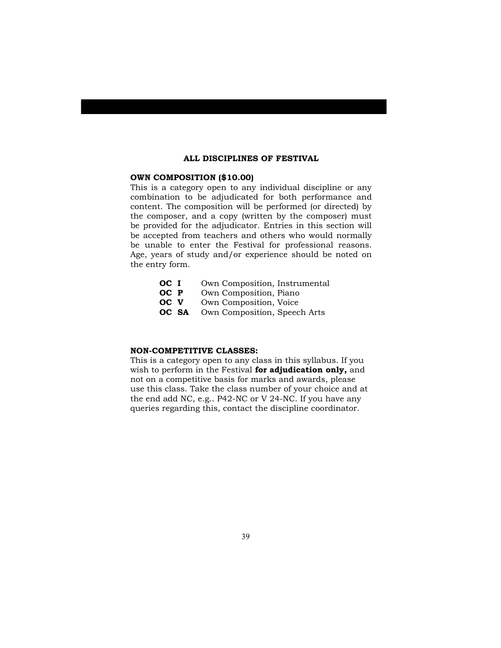#### **ALL DISCIPLINES OF FESTIVAL**

#### **OWN COMPOSITION (\$10.00)**

This is a category open to any individual discipline or any combination to be adjudicated for both performance and content. The composition will be performed (or directed) by the composer, and a copy (written by the composer) must be provided for the adjudicator. Entries in this section will be accepted from teachers and others who would normally be unable to enter the Festival for professional reasons. Age, years of study and/or experience should be noted on the entry form.

- **OC I** Own Composition, Instrumental
- **OC P** Own Composition, Piano
- **OC V** Own Composition, Voice
- **OC SA** Own Composition, Speech Arts

#### **NON-COMPETITIVE CLASSES:**

This is a category open to any class in this syllabus. If you wish to perform in the Festival **for adjudication only,** and not on a competitive basis for marks and awards, please use this class. Take the class number of your choice and at the end add NC, e.g.. P42-NC or V 24-NC. If you have any queries regarding this, contact the discipline coordinator.